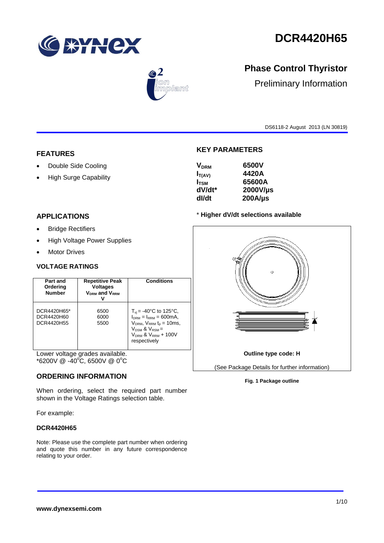

# **DCR4420H65**



## **Phase Control Thyristor**

Preliminary Information

DS6118-2 August 2013 (LN 30819)

#### **FEATURES**

- Double Side Cooling
- High Surge Capability

### **APPLICATIONS**

- **•** Bridge Rectifiers
- High Voltage Power Supplies
- Motor Drives

#### **VOLTAGE RATINGS**

| Part and<br>Ordering<br><b>Number</b>   | <b>Repetitive Peak</b><br><b>Voltages</b><br><b>VDRM</b> and VRRM | <b>Conditions</b>                                                                                                                                                                           |
|-----------------------------------------|-------------------------------------------------------------------|---------------------------------------------------------------------------------------------------------------------------------------------------------------------------------------------|
| DCR4420H65*<br>DCR4420H60<br>DCR4420H55 | 6500<br>6000<br>5500                                              | $T_{\rm vi}$ = -40°C to 125°C,<br>$l_{DRM} = l_{RRM} = 600 \text{mA}.$<br>$VDRM$ , $VRRM$ t <sub>p</sub> = 10ms,<br>$V_{DSM}$ & $V_{RSM}$ =<br>$V_{DRM}$ & $V_{RRM}$ + 100V<br>respectively |

Lower voltage grades available.  $*6200V \ @ \ -40^{\circ}\text{C}, 6500V \ @ \ 0^{\circ}\text{C}$ 

#### **ORDERING INFORMATION**

When ordering, select the required part number shown in the Voltage Ratings selection table.

For example:

#### **DCR4420H65**

Note: Please use the complete part number when ordering and quote this number in any future correspondence relating to your order.

#### **KEY PARAMETERS**

| 6500V        |
|--------------|
| 4420A        |
| 65600A       |
| 2000V/µs     |
| $200A/\mu s$ |
|              |

#### \* **Higher dV/dt selections available**



#### **Fig. 1 Package outline**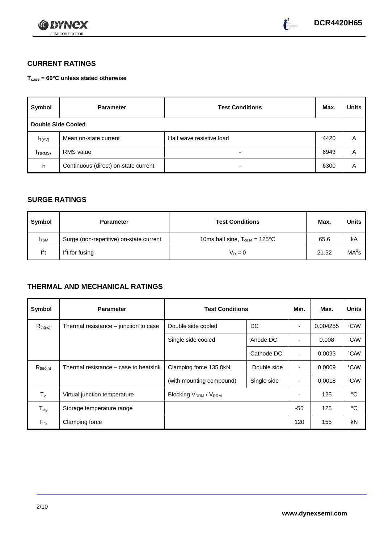



### **CURRENT RATINGS**

**Tcase = 60°C unless stated otherwise**

| Symbol              | <b>Parameter</b>                     | <b>Test Conditions</b>   |      | <b>Units</b> |
|---------------------|--------------------------------------|--------------------------|------|--------------|
| Double Side Cooled  |                                      |                          |      |              |
| $I_{T(AV)}$         | Mean on-state current                | Half wave resistive load | 4420 | Α            |
| I <sub>T(RMS)</sub> | <b>RMS</b> value                     | $\overline{\phantom{0}}$ | 6943 | A            |
| $I_{\rm T}$         | Continuous (direct) on-state current | $\overline{\phantom{0}}$ | 6300 | Α            |

#### **SURGE RATINGS**

| Symbol       | <b>Parameter</b>                        | <b>Test Conditions</b>                           | Max.  | <b>Units</b>      |
|--------------|-----------------------------------------|--------------------------------------------------|-------|-------------------|
| <b>I</b> TSM | Surge (non-repetitive) on-state current | 10ms half sine, $T_{\text{case}} = 125^{\circ}C$ | 65.6  | kA                |
| $l^2t$       | $I2t$ for fusing                        | $V_R = 0$                                        | 21.52 | MA <sup>2</sup> s |

## **THERMAL AND MECHANICAL RATINGS**

| Symbol                         | <b>Parameter</b>                      | <b>Test Conditions</b>                |             | Min.                     | Max.     | <b>Units</b> |
|--------------------------------|---------------------------------------|---------------------------------------|-------------|--------------------------|----------|--------------|
| $R_{th(j-c)}$                  | Thermal resistance – junction to case | Double side cooled                    | DC          |                          | 0.004255 | °C/W         |
|                                |                                       | Single side cooled                    | Anode DC    | ٠                        | 0.008    | °C/W         |
|                                |                                       |                                       | Cathode DC  | $\blacksquare$           | 0.0093   | °C/W         |
| $R_{th(c-h)}$                  | Thermal resistance – case to heatsink | Clamping force 135.0kN<br>Double side |             | ٠                        | 0.0009   | °C/W         |
|                                |                                       | (with mounting compound)              | Single side | $\overline{\phantom{0}}$ | 0.0018   | °C/W         |
| $T_{\rm\scriptscriptstyle VI}$ | Virtual junction temperature          | <b>Blocking VDRM / VRRM</b>           |             |                          | 125      | °C           |
| ${\mathsf T}_{\text{stg}}$     | Storage temperature range             |                                       |             | $-55$                    | 125      | °C           |
| $F_m$                          | Clamping force                        |                                       |             | 120                      | 155      | kN           |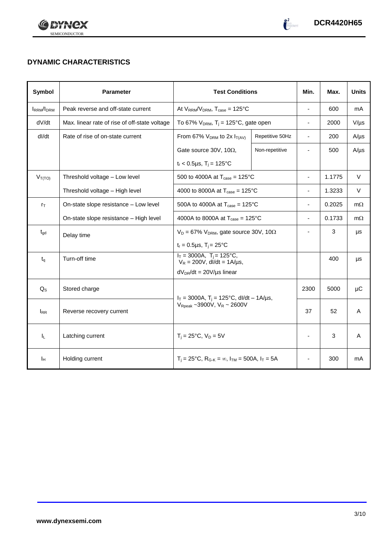



## **DYNAMIC CHARACTERISTICS**

| Symbol            | <b>Parameter</b>                                                                           | <b>Test Conditions</b>                                                  |                 | Min.                     | Max.   | <b>Units</b> |
|-------------------|--------------------------------------------------------------------------------------------|-------------------------------------------------------------------------|-----------------|--------------------------|--------|--------------|
| <b>IRRM</b> /IDRM | Peak reverse and off-state current                                                         | At $V_{RRM}/V_{DRM}$ , $T_{case} = 125^{\circ}C$                        |                 | ÷,                       | 600    | mA           |
| dV/dt             | Max. linear rate of rise of off-state voltage                                              | To 67% $V_{DRM}$ , T <sub>j</sub> = 125°C, gate open                    |                 | $\overline{\phantom{0}}$ | 2000   | $V/\mu s$    |
| dl/dt             | Rate of rise of on-state current                                                           | From 67% $V_{DRM}$ to 2x $I_{T(AV)}$                                    | Repetitive 50Hz | $\overline{\phantom{a}}$ | 200    | $A/\mu s$    |
|                   |                                                                                            | Gate source 30V, 10 $\Omega$ ,                                          | Non-repetitive  |                          | 500    | $A/\mu s$    |
|                   |                                                                                            | $t_r$ < 0.5µs, T <sub>i</sub> = 125°C                                   |                 |                          |        |              |
| $V_{T(TO)}$       | Threshold voltage - Low level                                                              | 500 to 4000A at $T_{\text{case}} = 125^{\circ}C$                        |                 | $\blacksquare$           | 1.1775 | $\vee$       |
|                   | Threshold voltage - High level                                                             | 4000 to 8000A at $T_{\text{case}} = 125^{\circ}C$                       |                 | $\overline{\phantom{0}}$ | 1.3233 | $\vee$       |
| $r_{\text{T}}$    | On-state slope resistance - Low level<br>500A to 4000A at $T_{\text{case}} = 125^{\circ}C$ |                                                                         |                 | ä,                       | 0.2025 | $m\Omega$    |
|                   | On-state slope resistance - High level                                                     | 4000A to 8000A at $T_{\text{case}} = 125^{\circ}$ C                     |                 | $\overline{\phantom{0}}$ | 0.1733 | $m\Omega$    |
| $t_{gd}$          | Delay time                                                                                 | $V_D = 67\%$ V <sub>DRM</sub> , gate source 30V, 10 $\Omega$            |                 |                          | 3      | μs           |
|                   |                                                                                            | $t_r = 0.5 \mu s$ , $T_i = 25^{\circ}C$                                 |                 |                          |        |              |
| $t_{q}$           | Turn-off time                                                                              | $I_T = 3000A$ , $T_i = 125^{\circ}C$ ,<br>$V_R = 200V$ , dl/dt = 1A/µs, |                 |                          | 400    | μs           |
|                   |                                                                                            | $dV_{DR}/dt = 20V/\mu s$ linear                                         |                 |                          |        |              |
| $Q_{S}$           | Stored charge                                                                              | $I_T = 3000A$ , $T_i = 125^{\circ}C$ , dl/dt - 1A/µs,                   |                 | 2300                     | 5000   | μC           |
| $I_{RR}$          | Reverse recovery current                                                                   | $V_{\text{Rpeak}}$ ~3900V, $V_R$ ~ 2600V                                |                 | 37                       | 52     | A            |
| $I_L$             | Latching current                                                                           | $T_i = 25^{\circ}C$ , $V_D = 5V$                                        |                 | ä,                       | 3      | A            |
| Īн                | Holding current                                                                            | $T_i = 25^{\circ}C$ , $R_{G-K} = \infty$ , $I_{TM} = 500A$ , $I_T = 5A$ |                 |                          | 300    | mA           |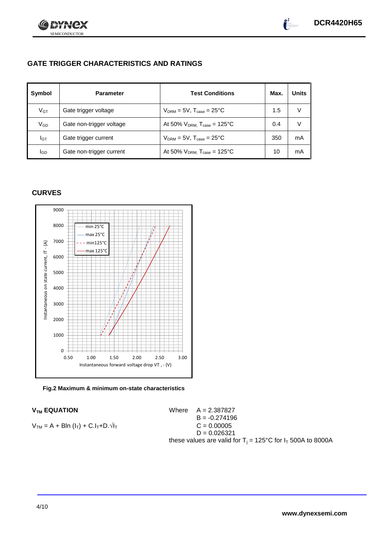



## **GATE TRIGGER CHARACTERISTICS AND RATINGS**

| Symbol       | <b>Parameter</b>         | <b>Test Conditions</b>                       | Max. | <b>Units</b> |
|--------------|--------------------------|----------------------------------------------|------|--------------|
| $V$ GT       | Gate trigger voltage     | $V_{DRM}$ = 5V, $T_{case}$ = 25°C            | 1.5  |              |
| $\rm V_{GD}$ | Gate non-trigger voltage | At 50% $V_{DRM}$ , $T_{case} = 125^{\circ}C$ | 0.4  |              |
| Iст          | Gate trigger current     | $V_{DRM} = 5V$ , $T_{case} = 25^{\circ}C$    | 350  | mA           |
| lgp          | Gate non-trigger current | At 50% $V_{DRM}$ , $T_{case} = 125^{\circ}C$ | 10   | mA           |

#### **CURVES**



**Fig.2 Maximum & minimum on-state characteristics**

$$
V_{TM} = A + Bln (l_T) + C.l_T + D.\sqrt{l_T}
$$
  
C = 0.00005  
C = 0.00005

 $V_{TM}$  **EQUATION** Where  $A = 2.387827$  $B = -0.274196$  $D = 0.026321$ these values are valid for  $T_i = 125^{\circ}C$  for  $I_T$  500A to 8000A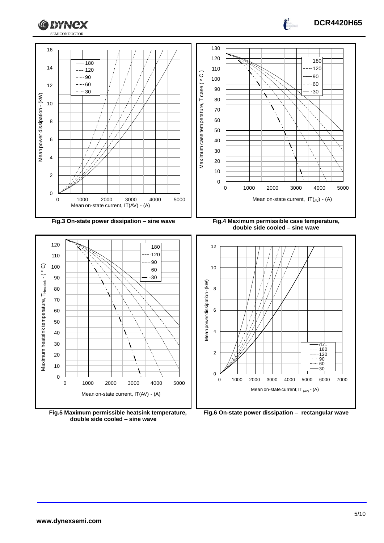



**double side cooled – sine wave**

**DCR4420H65**

 $\frac{1}{2}$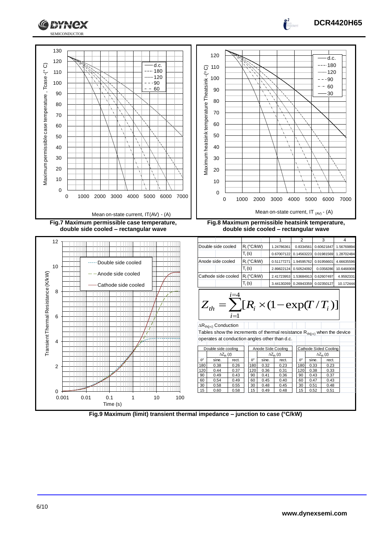

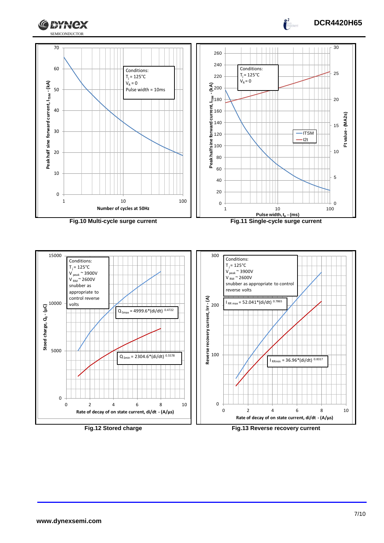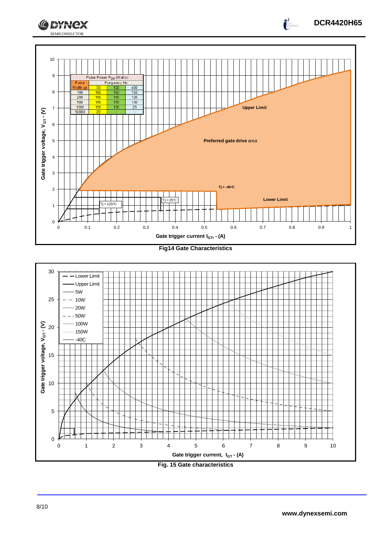





## **DCR4420H65**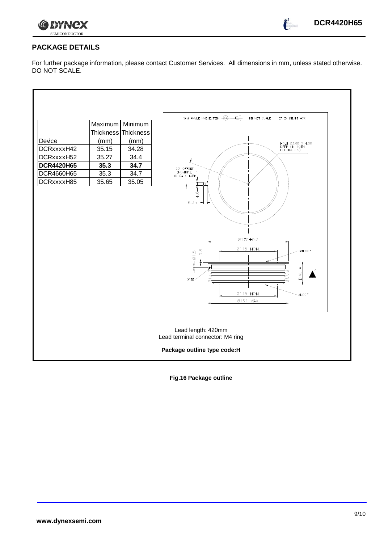

## **PACKAGE DETAILS**

For further package information, please contact Customer Services. All dimensions in mm, unless stated otherwise. DO NOT SCALE.

|                   | Maximum   | Minimum   | 3rd ANGLE PRIJECTION $\cdot \bigoplus \cdot \leftarrow \leftarrow \cdot$<br>DO NOT SCALE<br>IF IN DOUBT ASK                                            |
|-------------------|-----------|-----------|--------------------------------------------------------------------------------------------------------------------------------------------------------|
|                   | Thickness | Thickness |                                                                                                                                                        |
| Device            | (mm)      | (mm)      |                                                                                                                                                        |
| DCRxxxxH42        | 35.15     | 34.28     | HOLE 03.60 X 4.00<br>DEEP (IN BOTH<br>ELECTRODES)                                                                                                      |
| DCRxxxxH52        | 35.27     | 34.4      |                                                                                                                                                        |
| <b>DCR4420H65</b> | 35.3      | 34.7      |                                                                                                                                                        |
| DCR4660H65        | 35.3      | 34.7      | 20' OFF.SET<br>(NOMINAL)<br>TO GATE TUBE                                                                                                               |
| DCRxxxxH85        | 35.65     | 35.05     |                                                                                                                                                        |
|                   |           |           | $\frac{8}{4}$<br>$6.35 -$<br>0170±0.3<br>Ø115 NOM.<br>$0.\overline{8}$<br>CATHODE<br>$\emptyset$ 1.5<br>ЫM.<br>GATE<br>Ø115 NOM.<br>ANODE<br>Ø161 MAX. |
|                   |           |           | Lead length: 420mm<br>Lead terminal connector: M4 ring                                                                                                 |
|                   |           |           | Package outline type code:H                                                                                                                            |

**Fig.16 Package outline**